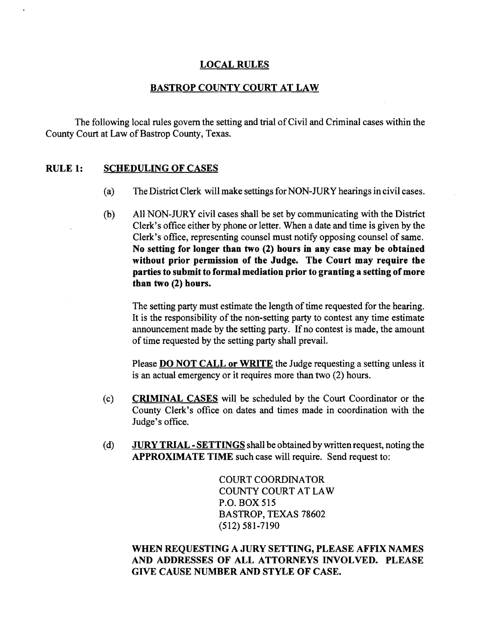### LOCAL RULES

#### BASTROP COUNTY COURT AT LAW

The following local rules govern the setting and trial ofCivil and Criminal cases within the County Court at Law of Bastrop County, Texas.

### RULE 1: SCHEDULING OF CASES

- (a) The District Clerk will make settings for NON-JURY hearings in civil cases.
- (b) All NON-JURY civil cases shall be set by communicating with the District Clerk's office either by phone or letter. When a date and time is given by the Clerk's office, representing counsel must notify opposing counsel of same. No setting for longer than two (2) hours in any case may be obtained without prior permission of the Judge. The Court may require the parties to submit to formal mediation prior to granting a setting of more than two (2) hours.

The setting party must estimate the length of time requested for the hearing. It is the responsibility of the non-setting party to contest any time estimate announcement made by the setting party. If no contest is made, the amount of time requested by the setting party shall prevail.

Please **DO NOT CALL or WRITE** the Judge requesting a setting unless it is an actual emergency or it requires more than two (2) hours.

- (c) CRIMINAL CASES will be scheduled by the Court Coordinator or the County Clerk's office on dates and times made in coordination with the Judge's office.
- (d)  $JURY TRIAL SETTINGS$  shall be obtained by written request, noting the APPROXIMATE TIME such case will require. Send request to:

COURT COORDINATOR COUNTY COlmT AT LAW P.O. BOX 515 BASTROP, TEXAS 78602 (512) 581-7190

## WHEN REQUESTING A JURY SETTING, PLEASE AFFIX NAMES AND ADDRESSES OF ALL ATTORNEYS INVOLVED. PLEASE GIVE CAUSE NUMBER AND STYLE OF CASE.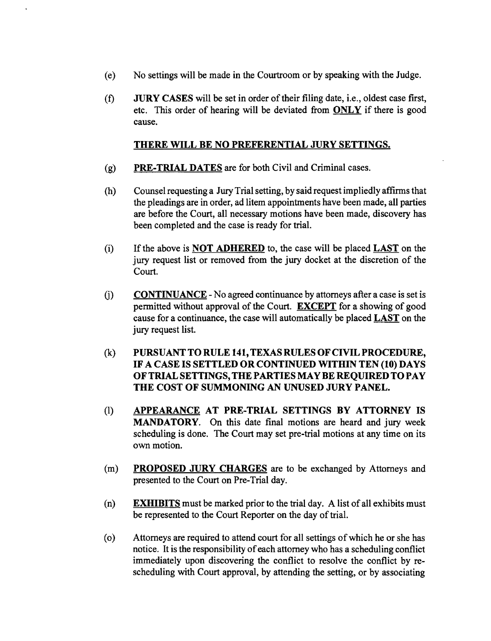- (e) No settings will be made in the Courtroom or by speaking with the Judge.
- (f) JURY CASES will be set in order oftheir filing date, Le., oldest case first, etc. This order of hearing will be deviated from ONLY if there is good cause.

### THERE WILL BE NO PREFERENTIAL JURY SETTINGS.

- $(g)$  PRE-TRIAL DATES are for both Civil and Criminal cases.
- (h) Counsel requesting a Jury Trial setting, by said request impliedly affirms that the pleadings are in order, ad litem appointments have been made, all parties are before the Court, all necessary motions have been made, discovery has been completed and the case is ready for trial.
- (i) If the above is **NOT ADHERED** to, the case will be placed  $\overline{LAST}$  on the jury request list or removed from the jury docket at the discretion of the Court.
- $(i)$  CONTINUANCE No agreed continuance by attorneys after a case is set is permitted without approval of the Court. EXCEPT for a showing of good cause for a continuance, the case will automatically be placed LAST on the jury request list.
- (k) PURSUANT TO RULE 141, TEXAS RULES OF CIVIL PROCEDURE, IF A CASE IS SETTLED OR CONTINUED WITHIN TEN (10) DAYS OF TRIAL SETTINGS, THE PARTIES MAYBE REQUIRED TO PAY THE COST OF SUMMONING AN UNUSED JURY PANEL.
- (1) APPEARANCE AT PRE-TRIAL SETTINGS BY ATTORNEY IS MANDATORY. On this date final motions are heard and jury week scheduling is done. The Court may set pre-trial motions at any time on its own motion.
- (m) **PROPOSED JURY CHARGES** are to be exchanged by Attorneys and presented to the Court on Pre-Trial day.
- (n) EXHIBITS must be marked prior to the trial day. A list of all exhibits must be represented to the Court Reporter on the day of trial.
- (0) Attorneys are required to attend court for all settings ofwhich he or she has notice. It is the responsibility of each attorney who has a scheduling conflict immediately upon discovering the conflict to resolve the conflict by rescheduling with Court approval, by attending the setting, or by associating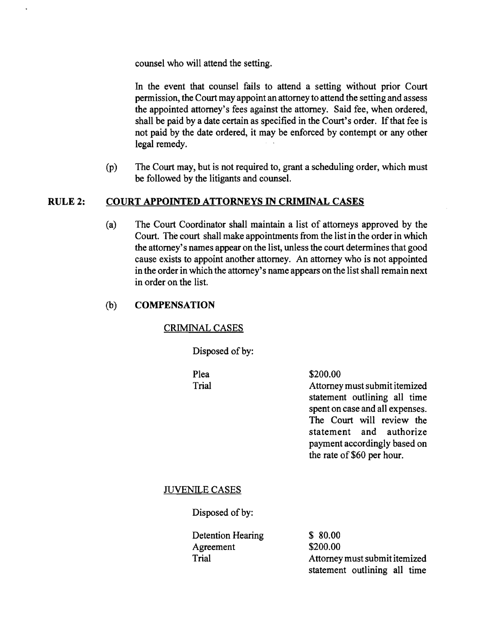counsel who will attend the setting.

In the event that counsel fails to attend a setting without prior Court permission, the Court may appoint an attorney to attend the setting and assess the appointed attorney's fees against the attorney. Said fee, when ordered, shall be paid by a date certain as specified in the Court's order. If that fee is not paid by the date ordered, it may be enforced by contempt or any other legal remedy.

(P) The Court may, but is not required to, grant a scheduling order, which must be followed by the litigants and counsel.

## RULE 2: COURT APPOINTED ATTORNEYS IN CRIMINAL CASES

(a) The Court Coordinator shall maintain a list of attorneys approved by the Court. The court shall make appointments from the list in the order in which the attorney's names appear on the list, unless the court determines that good cause exists to appoint another attorney. An attorney who is not appointed in the order in which the attorney's name appears on the list shall remain next in order on the list.

## (b) **COMPENSATION**

### CRIMINAL CASES

Disposed of by:

Plea \$200.00

Trial **Attorney must submit itemized** statement outlining all time spent on case and all expenses. The Court will review the statement and authorize payment accordingly based on the rate of \$60 per hour.

### JUVENILE CASES

Disposed of by:

| Detention Hearing | \$80.00                       |
|-------------------|-------------------------------|
| Agreement         | \$200.00                      |
| Trial             | Attorney must submit itemized |
|                   | statement outlining all time  |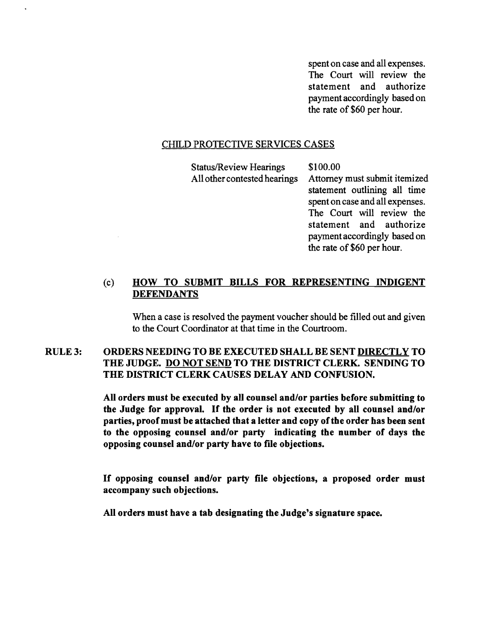spent on case and all expenses. The Court will review the statement and authorize payment accordingly based on the rate of \$60 per hour.

### CHILD PROTECTIVE SERVICES CASES

Status/Review Hearings \$100.00

All other contested hearings Attorney must submit itemized statement outlining all time spent on case and all expenses. The Court will review the statement and authorize payment accordingly based on the rate of \$60 per hour.

## (c) HOW TO SUBMIT BILLS FOR REPRESENTING INDIGENT **DEFENDANTS**

When a case is resolved the payment voucher should be filled out and given to the Court Coordinator at that time in the Courtroom.

## RULE 3: ORDERS NEEDING TO BE EXECUTED SHALL BE SENT DIRECTLY TO THE JUDGE. DO NOT SEND TO THE DISTRICT CLERK. SENDING TO THE DISTRICT CLERK CAUSES DELAY AND CONFUSION.

All orders must be executed by all counsel and/or parties before submitting to the Judge for approval. If the order is not executed by all counsel and/or parties, proof must be attached that a letter and copy of the order has been sent to the opposing counsel and/or party indicating the number of days the opposing counsel and/or party have to file objections.

If opposing counsel and/or party file objections, a proposed order must accompany such objections.

All orders must have a tab designating the Judge's signature space.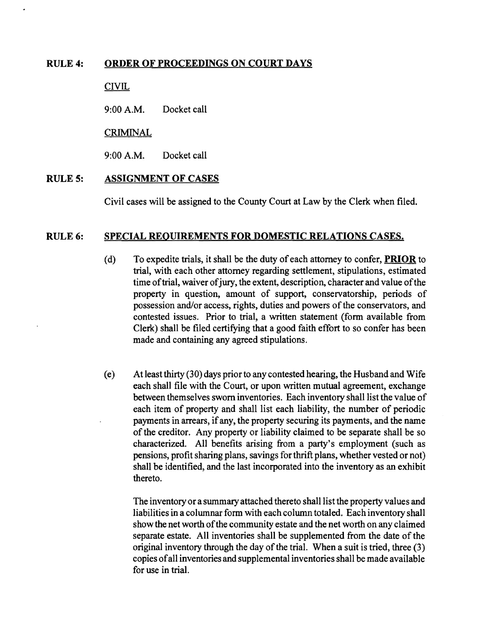#### RULE 4: ORDER OF PROCEEDINGS ON COURT DAYS

**CIVIL** 

9:00A.M. Docket call

## CRIMINAL

9:00A.M. Docket call

#### RULES: ASSIGNMENT OF CASES

Civil cases will be assigned to the County Court at Law by the Clerk when filed.

#### RULE 6: SPECIAL REOUIREMENTS FOR DOMESTIC RELATIONS CASES.

- (d) To expedite trials, it shall be the duty of each attorney to confer, **PRIOR** to trial, with each other attorney regarding settlement, stipulations, estimated time of trial, waiver of jury, the extent, description, character and value of the property in question, amount of support, conservatorship, periods of possession and/or access, rights, duties and powers of the conservators, and contested issues. Prior to trial, a written statement (form available from Clerk) shall be filed certifying that a good faith effort to so confer has been made and containing any agreed stipulations.
- (e) At least thirty (30) days prior to any contested hearing, the Husband and Wife each shall file with the Court, or upon written mutual agreement, exchange between themselves sworn inventories. Each inventory shall list the value of each item of property and shall list each liability, the number of periodic payments in arrears, ifany, the property securing its payments, and the name of the creditor. Any property or liability claimed to be separate shall be so characterized. AU benefits arising from a party's employment (such as pensions, profit sharing plans, savings for thrift plans, whether vested or not) shall be identified, and the last incorporated into the inventory as an exhibit thereto.

The inventory or a summary attached thereto shall list the property values and liabilities in a columnar form with each column totaled. Each inventory shall show the net worth of the community estate and the net worth on any claimed separate estate. All inventories shall be supplemented from the date of the original inventory through the day of the trial. When a suit is tried, three  $(3)$ copies ofall inventories and supplemental inventories shall be made available for use in trial.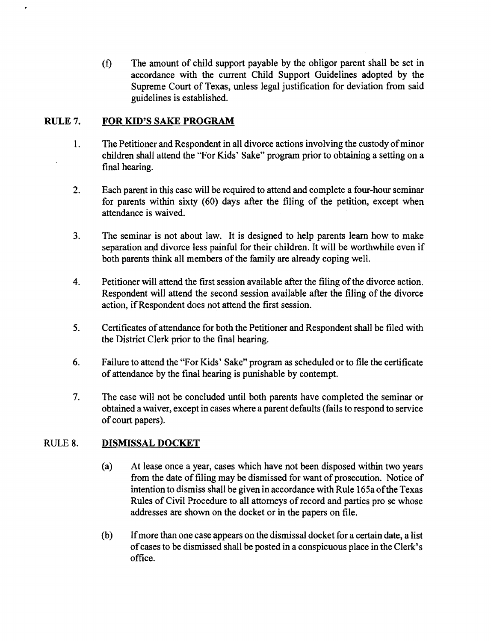(f) The amount of child support payable by the obligor parent shall be set in accordance with the current Child Support Guidelines adopted by the Supreme Court of Texas, unless legal justification for deviation from said guidelines is established.

## RULE 7. FOR KID'S SAKE PROGRAM

- 1. The Petitioner and Respondent in all divorce actions involving the custody of minor children shall attend the "For Kids' Sake" program prior to obtaining a setting on a final hearing.
- 2. Each parent in this case will be required to attend and complete a four-hour seminar for parents within sixty (60) days after the filing of the petition, except when attendance is waived.
- 3. The seminar is not about law. It is designed to help parents learn how to make separation and divorce less painful for their children. It will be worthwhile even if both parents think all members of the family are already coping well.
- 4. Petitioner will attend the first session available after the filing of the divorce action. Respondent will attend the second session available after the filing of the divorce action, ifRespondent does not attend the first session.
- 5. Certificates of attendance for both the Petitioner and Respondent shall be filed with the District Clerk prior to the final hearing.
- 6. Failure to attend the "For Kids' Sake" program as scheduled or to file the certificate of attendance by the final hearing is punishable by contempt.
- 7. The case will not be concluded until both parents have completed the seminar or obtained a waiver, except in cases where a parent defaults (fails to respond to service of court papers).

# RULE 8. DISMISSAL DOCKET

- (a) At lease once a year, cases which have not been disposed within two years from the date of filing may be dismissed for want of prosecution. Notice of intention to dismiss shall be given in accordance with Rule 165a ofthe Texas Rules of Civil Procedure to all attorneys of record and parties pro se whose addresses are shown on the docket or in the papers on file.
- (b) Ifmore than one case appears on the dismissal docket for a certain date, a list ofcases to be dismissed shall be posted in a conspicuous place in the Clerk's office.